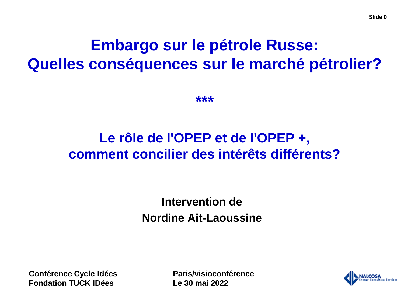# **Embargo sur le pétrole Russe: Quelles conséquences sur le marché pétrolier?**

**\*\*\***

# **Le rôle de l'OPEP et de l'OPEP +, comment concilier des intérêts différents?**

**Intervention de Nordine Ait-Laoussine**

**Conférence Cycle Idées Fondation TUCK IDées**

**Paris/visioconférence Le 30 mai 2022**

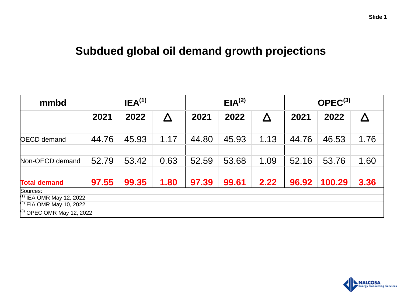### **Subdued global oil demand growth projections**

| mmbd                                                     | IEA <sup>(1)</sup> |       |                       |       | EIA <sup>(2)</sup> |      | $OPEC^{(3)}$ |        |                       |
|----------------------------------------------------------|--------------------|-------|-----------------------|-------|--------------------|------|--------------|--------|-----------------------|
|                                                          | 2021               | 2022  | $\boldsymbol{\Delta}$ | 2021  | 2022               | Λ    | 2021         | 2022   | $\boldsymbol{\Delta}$ |
|                                                          |                    |       |                       |       |                    |      |              |        |                       |
| <b>OECD</b> demand                                       | 44.76              | 45.93 | 1.17                  | 44.80 | 45.93              | 1.13 | 44.76        | 46.53  | 1.76                  |
|                                                          |                    |       |                       |       |                    |      |              |        |                       |
| Non-OECD demand                                          | 52.79              | 53.42 | 0.63                  | 52.59 | 53.68              | 1.09 | 52.16        | 53.76  | 1.60                  |
|                                                          |                    |       |                       |       |                    |      |              |        |                       |
| <b>Total demand</b>                                      | 97.55              | 99.35 | 1.80                  | 97.39 | 99.61              | 2.22 | 96.92        | 100.29 | 3.36                  |
| Sources:                                                 |                    |       |                       |       |                    |      |              |        |                       |
| $(1)$ IEA OMR May 12, 2022<br>$(2)$ EIA OMR May 10, 2022 |                    |       |                       |       |                    |      |              |        |                       |
|                                                          |                    |       |                       |       |                    |      |              |        |                       |
| <sup>(3)</sup> OPEC OMR May 12, 2022                     |                    |       |                       |       |                    |      |              |        |                       |

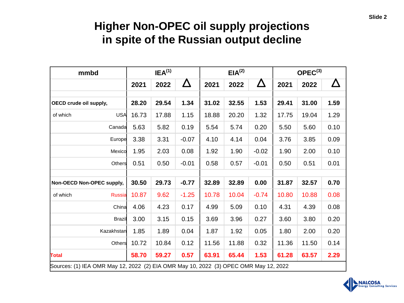## **Higher Non-OPEC oil supply projections in spite of the Russian output decline**

| mmbd                      |                                                                                      | IEA <sup>(1)</sup> |          | EIA <sup>(2)</sup> |       |         | $OPEC^{(3)}$ |       |      |
|---------------------------|--------------------------------------------------------------------------------------|--------------------|----------|--------------------|-------|---------|--------------|-------|------|
|                           | 2021                                                                                 | 2022               | $\Delta$ | 2021               | 2022  | Δ       | 2021         | 2022  |      |
|                           |                                                                                      |                    |          |                    |       |         |              |       |      |
| OECD crude oil supply,    | 28.20                                                                                | 29.54              | 1.34     | 31.02              | 32.55 | 1.53    | 29.41        | 31.00 | 1.59 |
| USA<br>of which           | 16.73                                                                                | 17.88              | 1.15     | 18.88              | 20.20 | 1.32    | 17.75        | 19.04 | 1.29 |
| Canada                    | 5.63                                                                                 | 5.82               | 0.19     | 5.54               | 5.74  | 0.20    | 5.50         | 5.60  | 0.10 |
| Europe                    | 3.38                                                                                 | 3.31               | $-0.07$  | 4.10               | 4.14  | 0.04    | 3.76         | 3.85  | 0.09 |
| Mexico                    | 1.95                                                                                 | 2.03               | 0.08     | 1.92               | 1.90  | $-0.02$ | 1.90         | 2.00  | 0.10 |
| Others                    | 0.51                                                                                 | 0.50               | $-0.01$  | 0.58               | 0.57  | $-0.01$ | 0.50         | 0.51  | 0.01 |
|                           |                                                                                      |                    |          |                    |       |         |              |       |      |
| Non-OECD Non-OPEC supply, | 30.50                                                                                | 29.73              | $-0.77$  | 32.89              | 32.89 | 0.00    | 31.87        | 32.57 | 0.70 |
| of which<br><b>Russia</b> | 10.87                                                                                | 9.62               | $-1.25$  | 10.78              | 10.04 | $-0.74$ | 10.80        | 10.88 | 0.08 |
| China                     | 4.06                                                                                 | 4.23               | 0.17     | 4.99               | 5.09  | 0.10    | 4.31         | 4.39  | 0.08 |
| <b>Brazil</b>             | 3.00                                                                                 | 3.15               | 0.15     | 3.69               | 3.96  | 0.27    | 3.60         | 3.80  | 0.20 |
| Kazakhstan                | 1.85                                                                                 | 1.89               | 0.04     | 1.87               | 1.92  | 0.05    | 1.80         | 2.00  | 0.20 |
| Others                    | 10.72                                                                                | 10.84              | 0.12     | 11.56              | 11.88 | 0.32    | 11.36        | 11.50 | 0.14 |
| <b>Total</b>              | 58.70                                                                                | 59.27              | 0.57     | 63.91              | 65.44 | 1.53    | 61.28        | 63.57 | 2.29 |
|                           | Sources: (1) IEA OMR May 12, 2022 (2) EIA OMR May 10, 2022 (3) OPEC OMR May 12, 2022 |                    |          |                    |       |         |              |       |      |

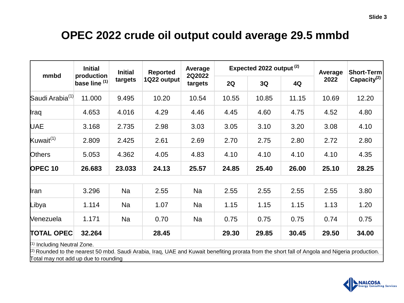### **OPEC 2022 crude oil output could average 29.5 mmbd**

| mmbd                                                                                                                                                                                                                      | <b>Initial</b><br>production<br>base line (1) | <b>Initial</b><br>targets | <b>Reported</b><br>1Q22 output | Average<br>2Q2022<br>targets |       | Expected 2022 output <sup>(2)</sup> | Average | Short-Term |                |
|---------------------------------------------------------------------------------------------------------------------------------------------------------------------------------------------------------------------------|-----------------------------------------------|---------------------------|--------------------------------|------------------------------|-------|-------------------------------------|---------|------------|----------------|
|                                                                                                                                                                                                                           |                                               |                           |                                |                              | 2Q    | 3Q                                  | 4Q      | 2022       | Capacity $(2)$ |
| Saudi Arabia <sup>(1)</sup>                                                                                                                                                                                               | 11.000                                        | 9.495                     | 10.20                          | 10.54                        | 10.55 | 10.85                               | 11.15   | 10.69      | 12.20          |
| ∥raq                                                                                                                                                                                                                      | 4.653                                         | 4.016                     | 4.29                           | 4.46                         | 4.45  | 4.60                                | 4.75    | 4.52       | 4.80           |
| <b>UAE</b>                                                                                                                                                                                                                | 3.168                                         | 2.735                     | 2.98                           | 3.03                         | 3.05  | 3.10                                | 3.20    | 3.08       | 4.10           |
| Kuwait <sup>(1)</sup>                                                                                                                                                                                                     | 2.809                                         | 2.425                     | 2.61                           | 2.69                         | 2.70  | 2.75                                | 2.80    | 2.72       | 2.80           |
| Others                                                                                                                                                                                                                    | 5.053                                         | 4.362                     | 4.05                           | 4.83                         | 4.10  | 4.10                                | 4.10    | 4.10       | 4.35           |
| <b>OPEC 10</b>                                                                                                                                                                                                            | 26.683                                        | 23.033                    | 24.13                          | 25.57                        | 24.85 | 25.40                               | 26.00   | 25.10      | 28.25          |
|                                                                                                                                                                                                                           |                                               |                           |                                |                              |       |                                     |         |            |                |
| <b>I</b> ran                                                                                                                                                                                                              | 3.296                                         | Na                        | 2.55                           | Na                           | 2.55  | 2.55                                | 2.55    | 2.55       | 3.80           |
| Libya                                                                                                                                                                                                                     | 1.114                                         | <b>Na</b>                 | 1.07                           | Na                           | 1.15  | 1.15                                | 1.15    | 1.13       | 1.20           |
| <b>Nenezuela</b>                                                                                                                                                                                                          | 1.171                                         | Na                        | 0.70                           | Na                           | 0.75  | 0.75                                | 0.75    | 0.74       | 0.75           |
| <b>TOTAL OPEC</b>                                                                                                                                                                                                         | 32.264                                        |                           | 28.45                          |                              | 29.30 | 29.85                               | 30.45   | 29.50      | 34.00          |
| 1) Including Neutral Zone.<br>$^{(2)}$ Rounded to the nearest 50 mbd. Saudi Arabia, Iraq, UAE and Kuwait benefiting prorata from the short fall of Angola and Nigeria production.<br>Total may not add up due to rounding |                                               |                           |                                |                              |       |                                     |         |            |                |

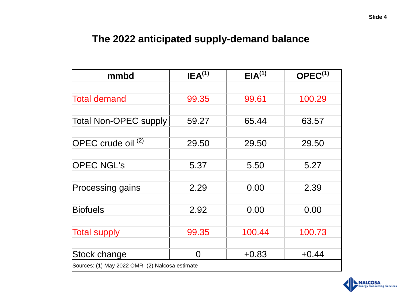### **The 2022 anticipated supply-demand balance**

| mmbd                                           | IEA <sup>(1)</sup> | EIA <sup>(1)</sup> | $OPEC^{(1)}$ |  |  |  |
|------------------------------------------------|--------------------|--------------------|--------------|--|--|--|
|                                                |                    |                    |              |  |  |  |
| <b>Total demand</b>                            | 99.35              | 99.61              | 100.29       |  |  |  |
|                                                |                    |                    |              |  |  |  |
| Total Non-OPEC supply                          | 59.27              | 65.44              | 63.57        |  |  |  |
|                                                |                    |                    |              |  |  |  |
| $[OPEC$ crude oil $^{(2)}$                     | 29.50              | 29.50              | 29.50        |  |  |  |
|                                                |                    |                    |              |  |  |  |
| <b>OPEC NGL's</b>                              | 5.37               | 5.50               | 5.27         |  |  |  |
|                                                |                    |                    |              |  |  |  |
| Processing gains                               | 2.29               | 0.00               | 2.39         |  |  |  |
|                                                |                    |                    |              |  |  |  |
| <b>Biofuels</b>                                | 2.92               | 0.00               | 0.00         |  |  |  |
|                                                |                    |                    |              |  |  |  |
| <b>Total supply</b>                            | 99.35              | 100.44             | 100.73       |  |  |  |
|                                                |                    |                    |              |  |  |  |
| Stock change                                   | $\Omega$           | $+0.83$            | $+0.44$      |  |  |  |
| Sources: (1) May 2022 OMR (2) Nalcosa estimate |                    |                    |              |  |  |  |